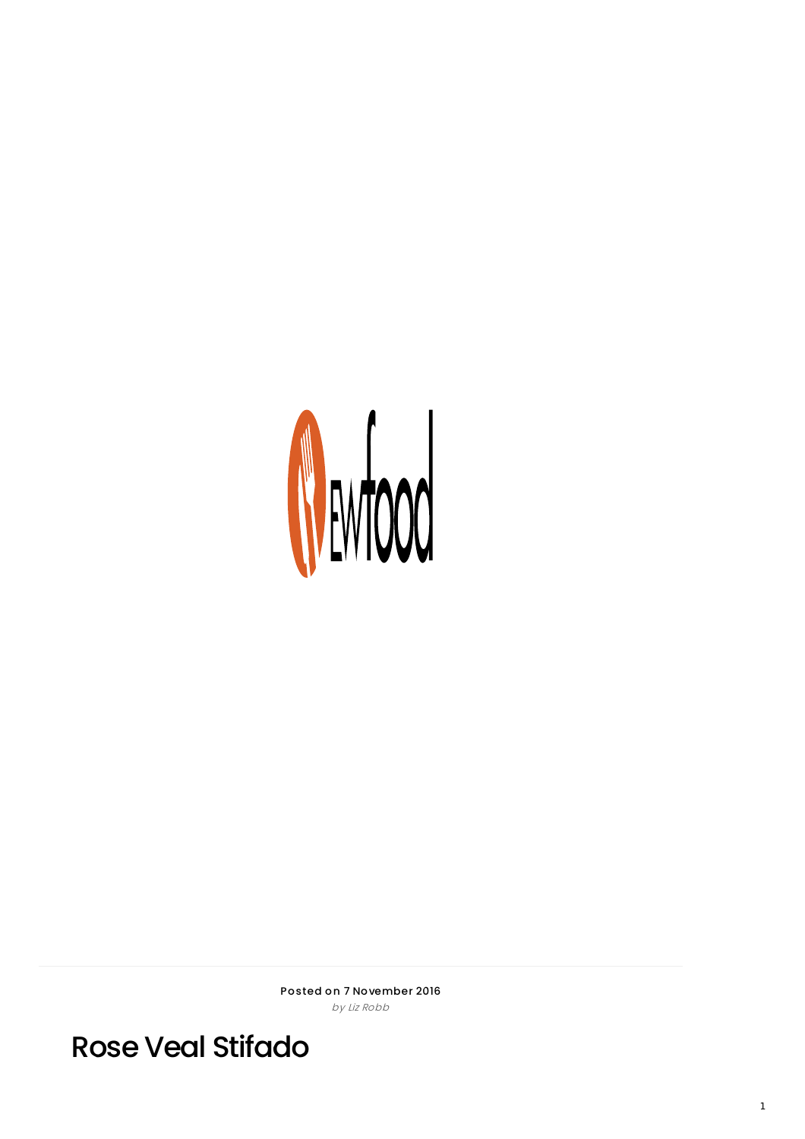

Posted on 7 November 2016 by Liz Robb

**Rose Veal Stifado**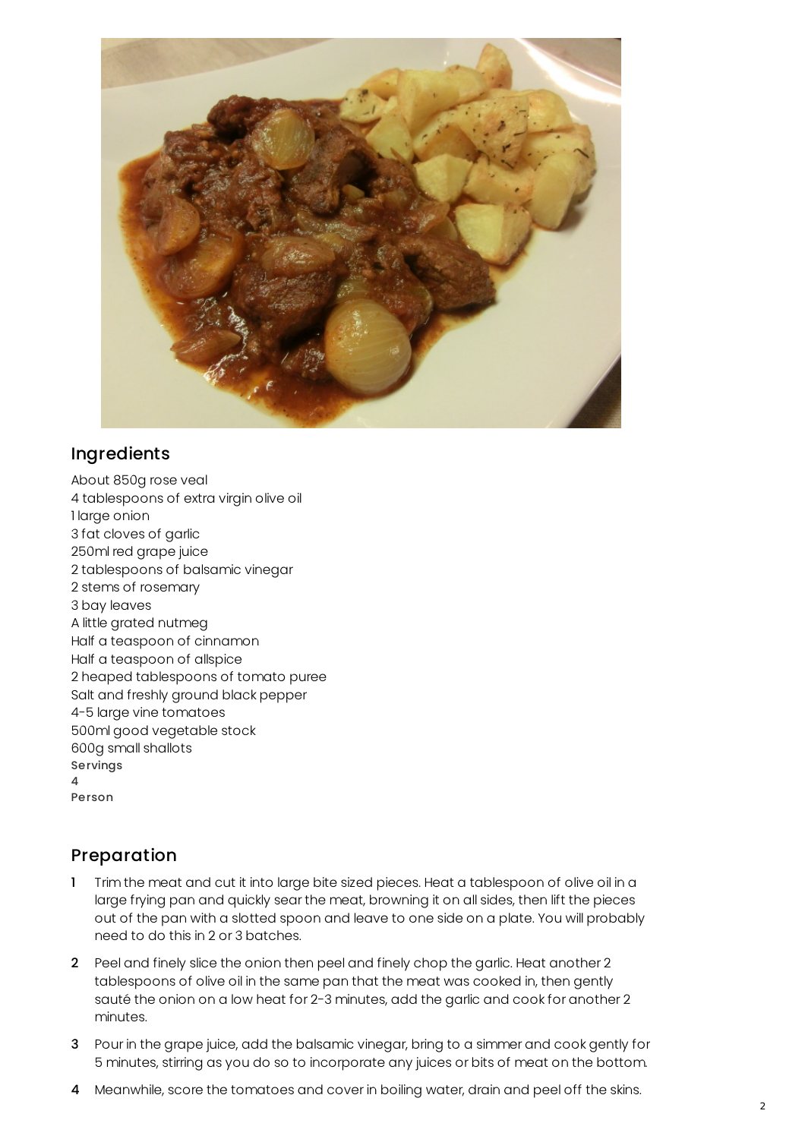

## Ingredients

About 850g rose veal 4 tablespoons of extra virgin olive oil 1 large onion 3 fat cloves of garlic 250ml red grape juice 2 tablespoons of balsamic vinegar 2 stems of rosemary 3 bay leaves A little grated nutmeg Half a teaspoon of cinnamon Half a teaspoon of allspice 2 heaped tablespoons of tomato puree Salt and freshly ground black pepper 4-5 large vine tomatoes 500ml good vegetable stock 600g small shallots Servings 4 Person

## Preparation

- 1 Trim the meat and cut it into large bite sized pieces. Heat a tablespoon of olive oil in a large frying pan and quickly sear the meat, browning it on all sides, then lift the pieces out of the pan with a slotted spoon and leave to one side on a plate. You will probably need to do this in 2 or 3 batches.
- 2 Peel and finely slice the onion then peel and finely chop the garlic. Heat another 2 tablespoons of olive oil in the same pan that the meat was cooked in, then gently sauté the onion on a low heat for 2-3 minutes, add the garlic and cook for another 2 minutes.
- 3 Pour in the grape juice, add the balsamic vinegar, bring to a simmer and cook gently for 5 minutes, stirring as you do so to incorporate any juices or bits of meat on the bottom.
- 4 Meanwhile, score the tomatoes and cover in boiling water, drain and peel off the skins.